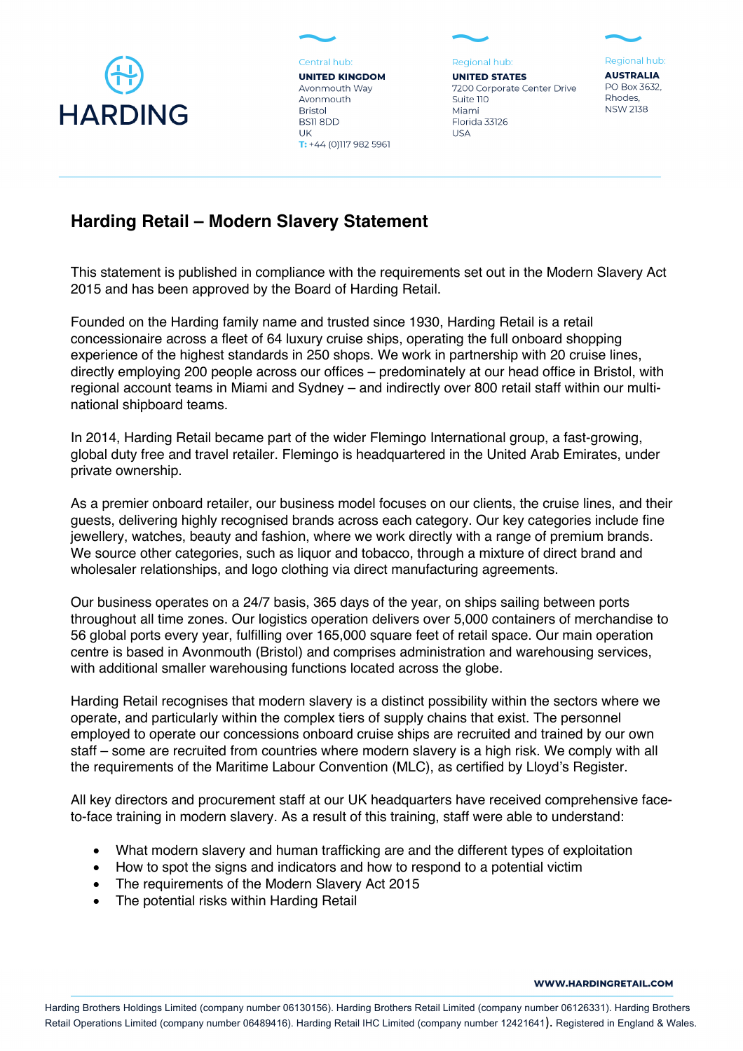

Central hub: **UNITED KINGDOM** Avonmouth Way Avonmouth

 $T: +44(0)1179825961$ 

**Bristol** 

UK

BS118DD

Regional hub: **UNITED STATES** 7200 Corporate Center Drive Suite 110 Miami Florida 33126 **USA** 

Regional hub: **AUSTRALIA** 

PO Box 3632, Rhodes. **NSW 2138** 

## **Harding Retail – Modern Slavery Statement**

This statement is published in compliance with the requirements set out in the Modern Slavery Act 2015 and has been approved by the Board of Harding Retail.

Founded on the Harding family name and trusted since 1930, Harding Retail is a retail concessionaire across a fleet of 64 luxury cruise ships, operating the full onboard shopping experience of the highest standards in 250 shops. We work in partnership with 20 cruise lines, directly employing 200 people across our offices – predominately at our head office in Bristol, with regional account teams in Miami and Sydney – and indirectly over 800 retail staff within our multinational shipboard teams.

In 2014, Harding Retail became part of the wider Flemingo International group, a fast-growing, global duty free and travel retailer. Flemingo is headquartered in the United Arab Emirates, under private ownership.

As a premier onboard retailer, our business model focuses on our clients, the cruise lines, and their guests, delivering highly recognised brands across each category. Our key categories include fine jewellery, watches, beauty and fashion, where we work directly with a range of premium brands. We source other categories, such as liquor and tobacco, through a mixture of direct brand and wholesaler relationships, and logo clothing via direct manufacturing agreements.

Our business operates on a 24/7 basis, 365 days of the year, on ships sailing between ports throughout all time zones. Our logistics operation delivers over 5,000 containers of merchandise to 56 global ports every year, fulfilling over 165,000 square feet of retail space. Our main operation centre is based in Avonmouth (Bristol) and comprises administration and warehousing services, with additional smaller warehousing functions located across the globe.

Harding Retail recognises that modern slavery is a distinct possibility within the sectors where we operate, and particularly within the complex tiers of supply chains that exist. The personnel employed to operate our concessions onboard cruise ships are recruited and trained by our own staff – some are recruited from countries where modern slavery is a high risk. We comply with all the requirements of the Maritime Labour Convention (MLC), as certified by Lloyd's Register.

All key directors and procurement staff at our UK headquarters have received comprehensive faceto-face training in modern slavery. As a result of this training, staff were able to understand:

- What modern slavery and human trafficking are and the different types of exploitation
- How to spot the signs and indicators and how to respond to a potential victim
- The requirements of the Modern Slavery Act 2015
- The potential risks within Harding Retail